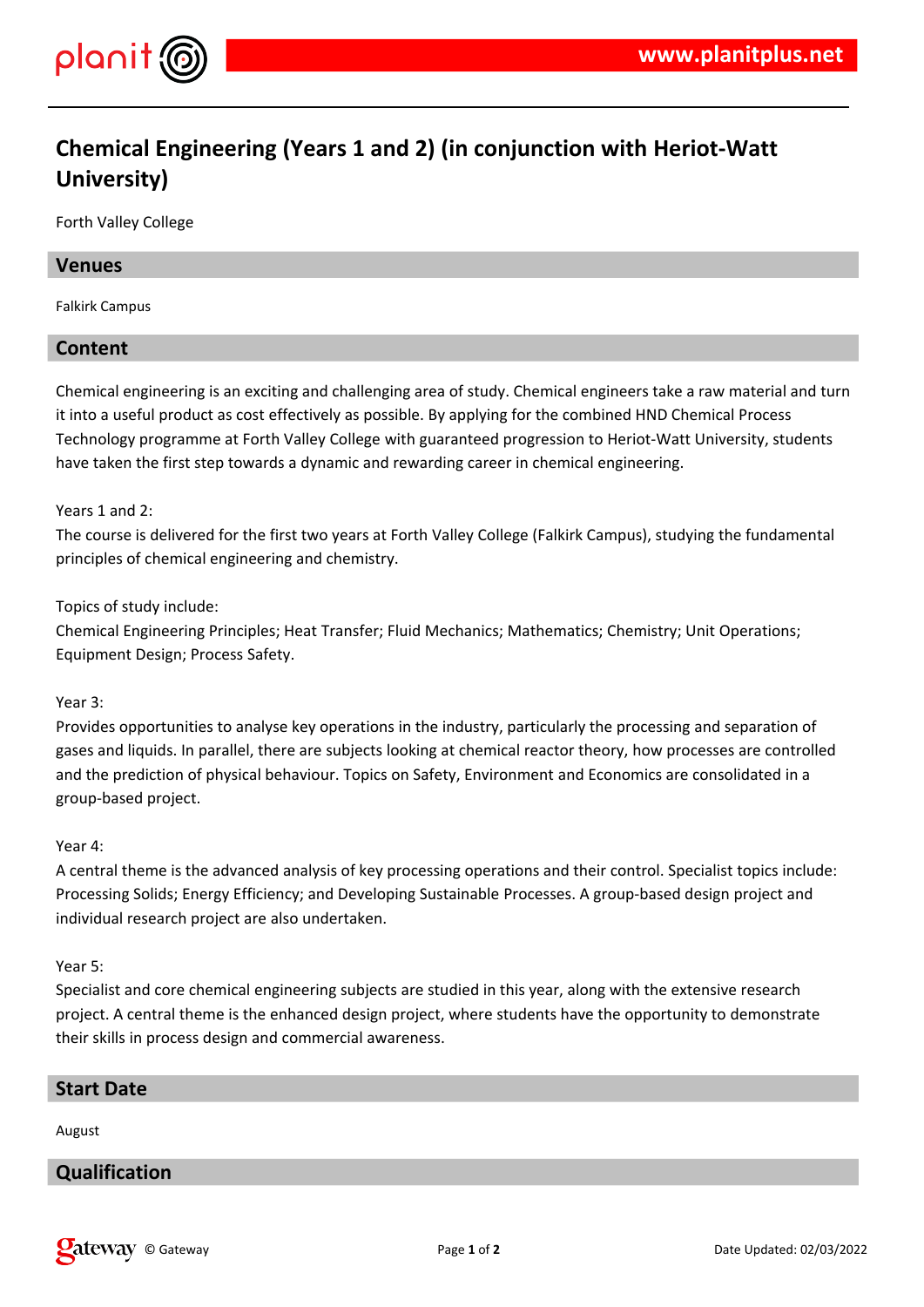

# **Chemical Engineering (Years 1 and 2) (in conjunction with Heriot-Watt University)**

Forth Valley College

### **Venues**

Falkirk Campus

# **Content**

Chemical engineering is an exciting and challenging area of study. Chemical engineers take a raw material and turn it into a useful product as cost effectively as possible. By applying for the combined HND Chemical Process Technology programme at Forth Valley College with guaranteed progression to Heriot-Watt University, students have taken the first step towards a dynamic and rewarding career in chemical engineering.

### Years 1 and 2:

The course is delivered for the first two years at Forth Valley College (Falkirk Campus), studying the fundamental principles of chemical engineering and chemistry.

#### Topics of study include:

Chemical Engineering Principles; Heat Transfer; Fluid Mechanics; Mathematics; Chemistry; Unit Operations; Equipment Design; Process Safety.

### Year 3:

Provides opportunities to analyse key operations in the industry, particularly the processing and separation of gases and liquids. In parallel, there are subjects looking at chemical reactor theory, how processes are controlled and the prediction of physical behaviour. Topics on Safety, Environment and Economics are consolidated in a group-based project.

### Year 4:

A central theme is the advanced analysis of key processing operations and their control. Specialist topics include: Processing Solids; Energy Efficiency; and Developing Sustainable Processes. A group-based design project and individual research project are also undertaken.

#### Year 5:

Specialist and core chemical engineering subjects are studied in this year, along with the extensive research project. A central theme is the enhanced design project, where students have the opportunity to demonstrate their skills in process design and commercial awareness.

### **Start Date**

August

# **Qualification**